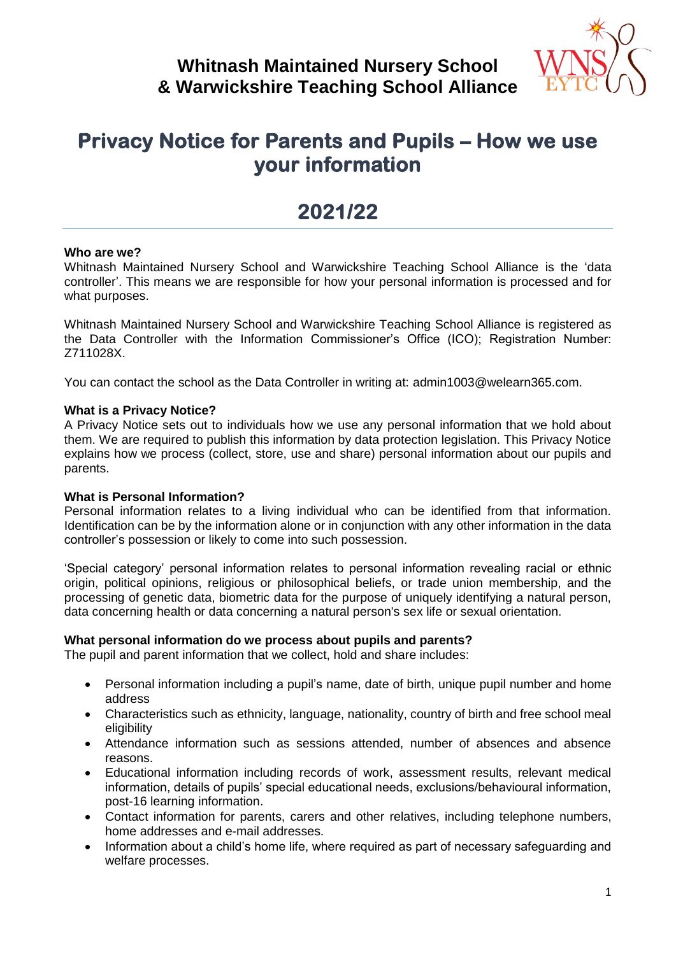# **Whitnash Maintained Nursery School & Warwickshire Teaching School Alliance**



# **Privacy Notice for Parents and Pupils – How we use your information**

# **2021/22**

#### **Who are we?**

Whitnash Maintained Nursery School and Warwickshire Teaching School Alliance is the 'data controller'. This means we are responsible for how your personal information is processed and for what purposes.

Whitnash Maintained Nursery School and Warwickshire Teaching School Alliance is registered as the Data Controller with the Information Commissioner's Office (ICO); Registration Number: Z711028X.

You can contact the school as the Data Controller in writing at: admin1003@welearn365.com.

#### **What is a Privacy Notice?**

A Privacy Notice sets out to individuals how we use any personal information that we hold about them. We are required to publish this information by data protection legislation. This Privacy Notice explains how we process (collect, store, use and share) personal information about our pupils and parents.

#### **What is Personal Information?**

Personal information relates to a living individual who can be identified from that information. Identification can be by the information alone or in conjunction with any other information in the data controller's possession or likely to come into such possession.

'Special category' personal information relates to personal information revealing racial or ethnic origin, political opinions, religious or philosophical beliefs, or trade union membership, and the processing of genetic data, biometric data for the purpose of uniquely identifying a natural person, data concerning health or data concerning a natural person's sex life or sexual orientation.

#### **What personal information do we process about pupils and parents?**

The pupil and parent information that we collect, hold and share includes:

- Personal information including a pupil's name, date of birth, unique pupil number and home address
- Characteristics such as ethnicity, language, nationality, country of birth and free school meal eligibility
- Attendance information such as sessions attended, number of absences and absence reasons.
- Educational information including records of work, assessment results, relevant medical information, details of pupils' special educational needs, exclusions/behavioural information, post-16 learning information.
- Contact information for parents, carers and other relatives, including telephone numbers, home addresses and e-mail addresses.
- Information about a child's home life, where required as part of necessary safeguarding and welfare processes.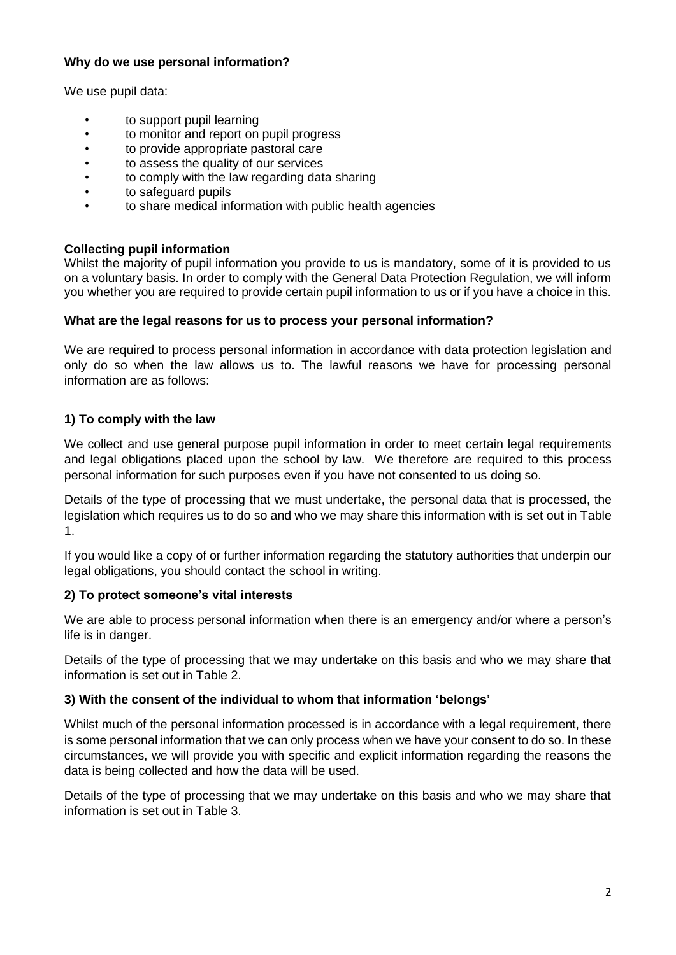# **Why do we use personal information?**

We use pupil data:

- to support pupil learning
- to monitor and report on pupil progress
- to provide appropriate pastoral care
- to assess the quality of our services
- to comply with the law regarding data sharing
- to safeguard pupils
- to share medical information with public health agencies

# **Collecting pupil information**

Whilst the majority of pupil information you provide to us is mandatory, some of it is provided to us on a voluntary basis. In order to comply with the General Data Protection Regulation, we will inform you whether you are required to provide certain pupil information to us or if you have a choice in this.

#### **What are the legal reasons for us to process your personal information?**

We are required to process personal information in accordance with data protection legislation and only do so when the law allows us to. The lawful reasons we have for processing personal information are as follows:

# **1) To comply with the law**

We collect and use general purpose pupil information in order to meet certain legal requirements and legal obligations placed upon the school by law. We therefore are required to this process personal information for such purposes even if you have not consented to us doing so.

Details of the type of processing that we must undertake, the personal data that is processed, the legislation which requires us to do so and who we may share this information with is set out in Table 1.

If you would like a copy of or further information regarding the statutory authorities that underpin our legal obligations, you should contact the school in writing.

#### **2) To protect someone's vital interests**

We are able to process personal information when there is an emergency and/or where a person's life is in danger.

Details of the type of processing that we may undertake on this basis and who we may share that information is set out in Table 2.

### **3) With the consent of the individual to whom that information 'belongs'**

Whilst much of the personal information processed is in accordance with a legal requirement, there is some personal information that we can only process when we have your consent to do so. In these circumstances, we will provide you with specific and explicit information regarding the reasons the data is being collected and how the data will be used.

Details of the type of processing that we may undertake on this basis and who we may share that information is set out in Table 3.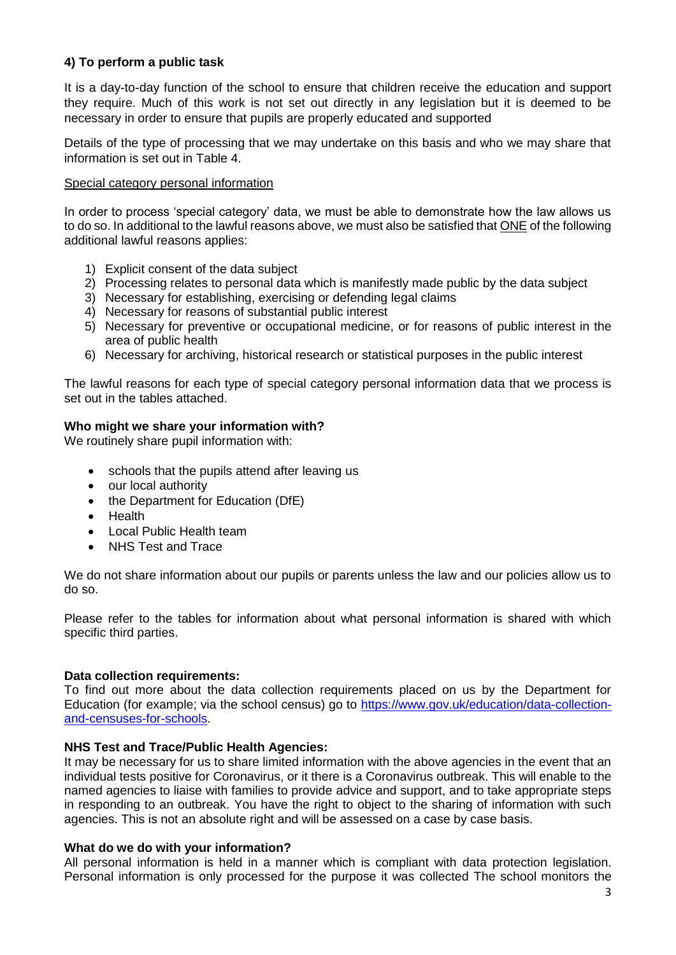# **4) To perform a public task**

It is a day-to-day function of the school to ensure that children receive the education and support they require. Much of this work is not set out directly in any legislation but it is deemed to be necessary in order to ensure that pupils are properly educated and supported

Details of the type of processing that we may undertake on this basis and who we may share that information is set out in Table 4.

#### Special category personal information

In order to process 'special category' data, we must be able to demonstrate how the law allows us to do so. In additional to the lawful reasons above, we must also be satisfied that ONE of the following additional lawful reasons applies:

- 1) Explicit consent of the data subject
- 2) Processing relates to personal data which is manifestly made public by the data subject
- 3) Necessary for establishing, exercising or defending legal claims
- 4) Necessary for reasons of substantial public interest
- 5) Necessary for preventive or occupational medicine, or for reasons of public interest in the area of public health
- 6) Necessary for archiving, historical research or statistical purposes in the public interest

The lawful reasons for each type of special category personal information data that we process is set out in the tables attached.

#### **Who might we share your information with?**

We routinely share pupil information with:

- schools that the pupils attend after leaving us
- our local authority
- the Department for Education (DfE)
- Health
- Local Public Health team
- NHS Test and Trace

We do not share information about our pupils or parents unless the law and our policies allow us to do so.

Please refer to the tables for information about what personal information is shared with which specific third parties.

#### **Data collection requirements:**

To find out more about the data collection requirements placed on us by the Department for Education (for example; via the school census) go to [https://www.gov.uk/education/data-collection](https://www.gov.uk/education/data-collection-and-censuses-for-schools)[and-censuses-for-schools.](https://www.gov.uk/education/data-collection-and-censuses-for-schools)

#### **NHS Test and Trace/Public Health Agencies:**

It may be necessary for us to share limited information with the above agencies in the event that an individual tests positive for Coronavirus, or it there is a Coronavirus outbreak. This will enable to the named agencies to liaise with families to provide advice and support, and to take appropriate steps in responding to an outbreak. You have the right to object to the sharing of information with such agencies. This is not an absolute right and will be assessed on a case by case basis.

#### **What do we do with your information?**

All personal information is held in a manner which is compliant with data protection legislation. Personal information is only processed for the purpose it was collected The school monitors the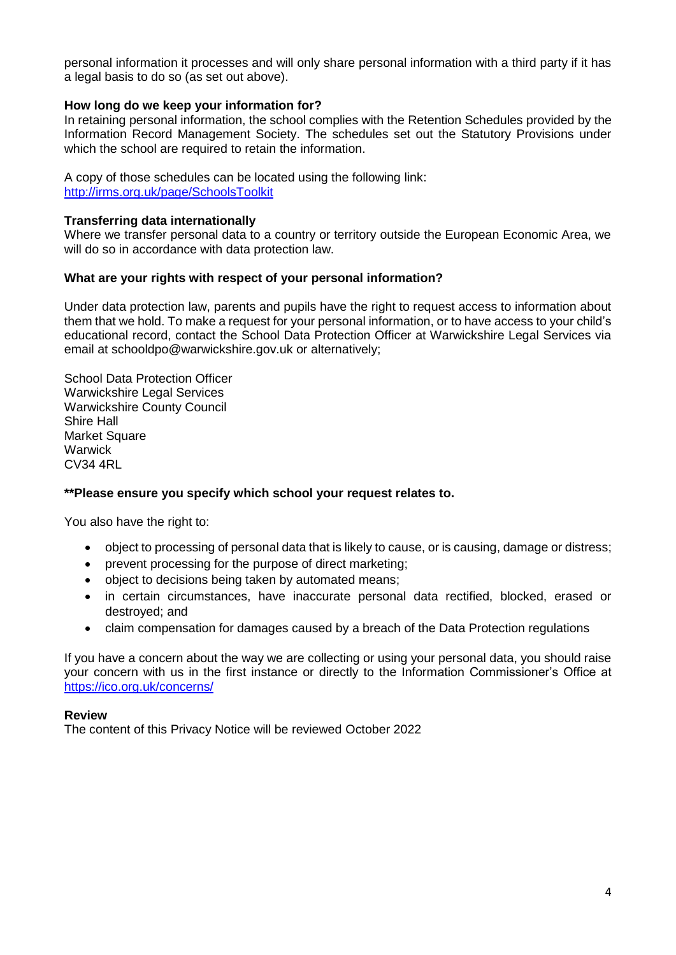personal information it processes and will only share personal information with a third party if it has a legal basis to do so (as set out above).

#### **How long do we keep your information for?**

In retaining personal information, the school complies with the Retention Schedules provided by the Information Record Management Society. The schedules set out the Statutory Provisions under which the school are required to retain the information.

A copy of those schedules can be located using the following link: <http://irms.org.uk/page/SchoolsToolkit>

#### **Transferring data internationally**

Where we transfer personal data to a country or territory outside the European Economic Area, we will do so in accordance with data protection law.

#### **What are your rights with respect of your personal information?**

Under data protection law, parents and pupils have the right to request access to information about them that we hold. To make a request for your personal information, or to have access to your child's educational record, contact the School Data Protection Officer at Warwickshire Legal Services via email at [schooldpo@warwickshire.gov.uk](mailto:schooldpo@warwickshire.gov.uk) or alternatively;

School Data Protection Officer Warwickshire Legal Services Warwickshire County Council Shire Hall Market Square **Warwick** CV34 4RL

#### **\*\*Please ensure you specify which school your request relates to.**

You also have the right to:

- object to processing of personal data that is likely to cause, or is causing, damage or distress;
- prevent processing for the purpose of direct marketing;
- object to decisions being taken by automated means;
- in certain circumstances, have inaccurate personal data rectified, blocked, erased or destroyed; and
- claim compensation for damages caused by a breach of the Data Protection regulations

If you have a concern about the way we are collecting or using your personal data, you should raise your concern with us in the first instance or directly to the Information Commissioner's Office at <https://ico.org.uk/concerns/>

#### **Review**

The content of this Privacy Notice will be reviewed October 2022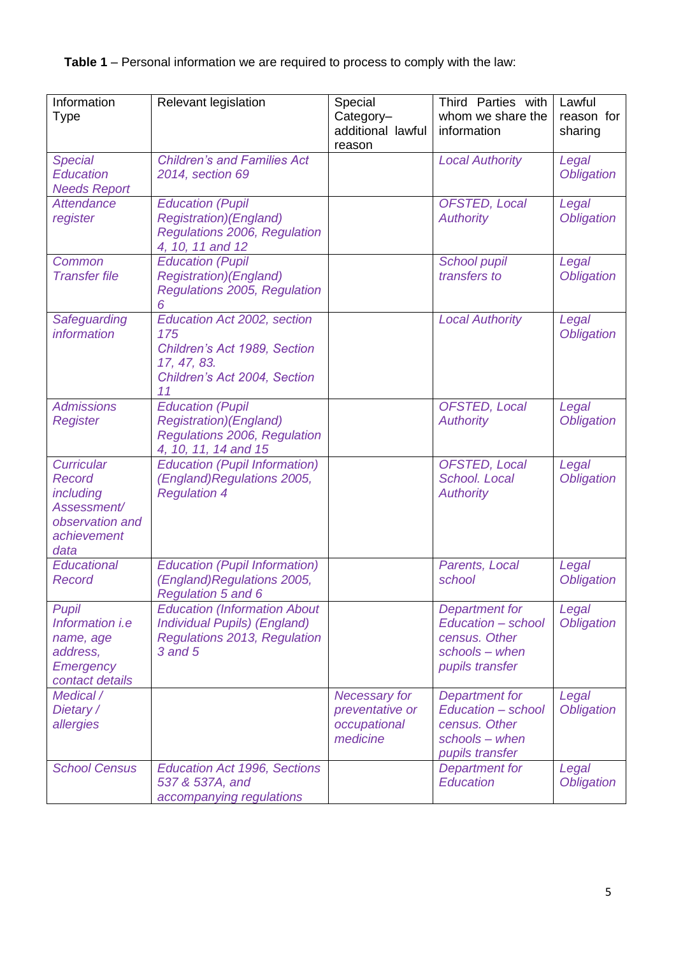**Table 1** – Personal information we are required to process to comply with the law:

| Information<br><b>Type</b>                                                                               | Relevant legislation                                                                                                    | Special<br>Category-<br>additional lawful<br>reason          | Third Parties with<br>whom we share the<br>information                                       | Lawful<br>reason for<br>sharing |
|----------------------------------------------------------------------------------------------------------|-------------------------------------------------------------------------------------------------------------------------|--------------------------------------------------------------|----------------------------------------------------------------------------------------------|---------------------------------|
| <b>Special</b><br><b>Education</b><br><b>Needs Report</b>                                                | <b>Children's and Families Act</b><br>2014, section 69                                                                  |                                                              | <b>Local Authority</b>                                                                       | Legal<br><b>Obligation</b>      |
| <b>Attendance</b><br>register                                                                            | <b>Education (Pupil</b><br><b>Registration</b> )(England)<br>Regulations 2006, Regulation<br>4, 10, 11 and 12           |                                                              | <b>OFSTED, Local</b><br><b>Authority</b>                                                     | Legal<br><b>Obligation</b>      |
| Common<br><b>Transfer file</b>                                                                           | <b>Education (Pupil</b><br><b>Registration</b> )(England)<br>Regulations 2005, Regulation<br>6                          |                                                              | <b>School pupil</b><br>transfers to                                                          | Legal<br><b>Obligation</b>      |
| Safeguarding<br><i>information</i>                                                                       | Education Act 2002, section<br>175<br>Children's Act 1989, Section<br>17, 47, 83.<br>Children's Act 2004, Section<br>11 |                                                              | <b>Local Authority</b>                                                                       | Legal<br><b>Obligation</b>      |
| <b>Admissions</b><br><b>Register</b>                                                                     | <b>Education (Pupil</b><br><b>Registration</b> )(England)<br>Regulations 2006, Regulation<br>4, 10, 11, 14 and 15       |                                                              | <b>OFSTED, Local</b><br><b>Authority</b>                                                     | Legal<br><b>Obligation</b>      |
| <b>Curricular</b><br><b>Record</b><br>including<br>Assessment/<br>observation and<br>achievement<br>data | <b>Education (Pupil Information)</b><br>(England)Regulations 2005,<br><b>Regulation 4</b>                               |                                                              | <b>OFSTED, Local</b><br>School. Local<br><b>Authority</b>                                    | Legal<br><b>Obligation</b>      |
| Educational<br><b>Record</b>                                                                             | <b>Education (Pupil Information)</b><br>(England)Regulations 2005,<br><b>Regulation 5 and 6</b>                         |                                                              | Parents, Local<br>school                                                                     | Legal<br><b>Obligation</b>      |
| <b>Pupil</b><br>Information <i>i.e</i><br>name, age<br>address,<br><b>Emergency</b><br>contact details   | <b>Education (Information About</b><br>Individual Pupils) (England)<br>Regulations 2013, Regulation<br>3 and 5          |                                                              | Department for<br>Education - school<br>census. Other<br>$schools - when$<br>pupils transfer | Legal<br><b>Obligation</b>      |
| Medical /<br>Dietary /<br>allergies                                                                      |                                                                                                                         | Necessary for<br>preventative or<br>occupational<br>medicine | Department for<br>Education - school<br>census. Other<br>schools - when<br>pupils transfer   | Legal<br><b>Obligation</b>      |
| <b>School Census</b>                                                                                     | <b>Education Act 1996, Sections</b><br>537 & 537A, and<br>accompanying regulations                                      |                                                              | Department for<br>Education                                                                  | Legal<br><b>Obligation</b>      |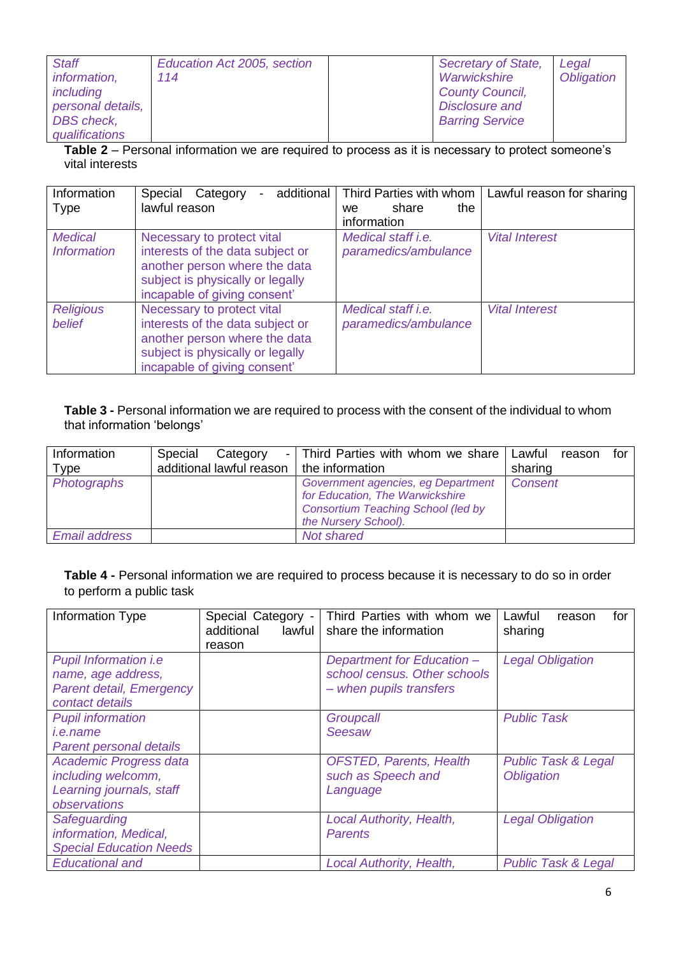| <b>Staff</b>        | Education Act 2005, section | Secretary of State,    | Legal             |
|---------------------|-----------------------------|------------------------|-------------------|
| <i>information,</i> | 114                         | Warwickshire           | <b>Obligation</b> |
| including           |                             | <b>County Council,</b> |                   |
| personal details,   |                             | <b>Disclosure and</b>  |                   |
| DBS check,          |                             | <b>Barring Service</b> |                   |
| qualifications      |                             |                        |                   |

**Table 2** – Personal information we are required to process as it is necessary to protect someone's vital interests

| Information<br>Type                  | additional<br>Special Category<br>lawful reason                                                                                                                     | Third Parties with whom<br>share<br>the<br>we.<br>information | Lawful reason for sharing |
|--------------------------------------|---------------------------------------------------------------------------------------------------------------------------------------------------------------------|---------------------------------------------------------------|---------------------------|
| <b>Medical</b><br><b>Information</b> | Necessary to protect vital<br>interests of the data subject or<br>another person where the data<br>subject is physically or legally<br>incapable of giving consent' | Medical staff <i>i.e.</i><br>paramedics/ambulance             | <b>Vital Interest</b>     |
| <b>Religious</b><br>belief           | Necessary to protect vital<br>interests of the data subject or<br>another person where the data<br>subject is physically or legally<br>incapable of giving consent' | Medical staff i.e.<br>paramedics/ambulance                    | <b>Vital Interest</b>     |

**Table 3 -** Personal information we are required to process with the consent of the individual to whom that information 'belongs'

| Information<br>Туре  | Special<br>Category<br>$-1$<br>additional lawful reason | Third Parties with whom we share<br>the information                                                                                        | Lawful<br>for I<br>reason<br>sharing |
|----------------------|---------------------------------------------------------|--------------------------------------------------------------------------------------------------------------------------------------------|--------------------------------------|
| Photographs          |                                                         | Government agencies, eg Department<br>for Education, The Warwickshire<br><b>Consortium Teaching School (led by</b><br>the Nursery School). | <b>Consent</b>                       |
| <b>Email address</b> |                                                         | Not shared                                                                                                                                 |                                      |

**Table 4 -** Personal information we are required to process because it is necessary to do so in order to perform a public task

| Information Type                                                                                  | Special Category -<br>additional<br>lawful I<br>reason | Third Parties with whom we<br>share the information                                   | Lawful<br>for<br>reason<br>sharing                  |
|---------------------------------------------------------------------------------------------------|--------------------------------------------------------|---------------------------------------------------------------------------------------|-----------------------------------------------------|
| Pupil Information <i>i.e</i><br>name, age address,<br>Parent detail, Emergency<br>contact details |                                                        | Department for Education -<br>school census. Other schools<br>- when pupils transfers | <b>Legal Obligation</b>                             |
| <b>Pupil information</b><br><i>i.e.name</i><br>Parent personal details                            |                                                        | Groupcall<br>Seesaw                                                                   | <b>Public Task</b>                                  |
| Academic Progress data<br>including welcomm,<br>Learning journals, staff<br>observations          |                                                        | <b>OFSTED, Parents, Health</b><br>such as Speech and<br>Language                      | <b>Public Task &amp; Legal</b><br><b>Obligation</b> |
| Safeguarding<br>information, Medical,<br><b>Special Education Needs</b>                           |                                                        | Local Authority, Health,<br><b>Parents</b>                                            | <b>Legal Obligation</b>                             |
| <b>Educational and</b>                                                                            |                                                        | Local Authority, Health,                                                              | <b>Public Task &amp; Legal</b>                      |